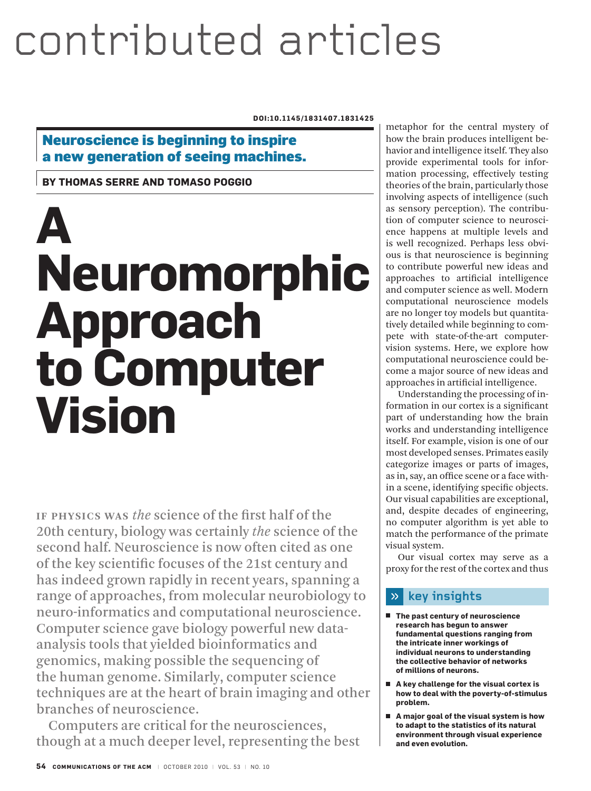# contributed articles

#### **DOI:10.1145/1831407.1831425**

### Neuroscience is beginning to inspire a new generation of seeing machines.

**BY THOMAS SERRE AND TOMASO POGGIO** 

## **A Neuromorphic Approach to Computer Vision**

IF PHYSICS WAS *the* science of the first half of the 20th century, biology was certainly *the* science of the second half. Neuroscience is now often cited as one of the key scientific focuses of the 21st century and has indeed grown rapidly in recent years, spanning a range of approaches, from molecular neurobiology to neuro-informatics and computational neuroscience. Computer science gave biology powerful new dataanalysis tools that yielded bioinformatics and genomics, making possible the sequencing of the human genome. Similarly, computer science techniques are at the heart of brain imaging and other branches of neuroscience.

Computers are critical for the neurosciences, though at a much deeper level, representing the best metaphor for the central mystery of how the brain produces intelligent behavior and intelligence itself. They also provide experimental tools for information processing, effectively testing theories of the brain, particularly those involving aspects of intelligence (such as sensory perception). The contribution of computer science to neuroscience happens at multiple levels and is well recognized. Perhaps less obvious is that neuroscience is beginning to contribute powerful new ideas and approaches to artificial intelligence and computer science as well. Modern computational neuroscience models are no longer toy models but quantitatively detailed while beginning to compete with state-of-the-art computervision systems. Here, we explore how computational neuroscience could become a major source of new ideas and approaches in artificial intelligence.

Understanding the processing of information in our cortex is a significant part of understanding how the brain works and understanding intelligence itself. For example, vision is one of our most developed senses. Primates easily categorize images or parts of images, as in, say, an office scene or a face within a scene, identifying specific objects. Our visual capabilities are exceptional, and, despite decades of engineering, no computer algorithm is yet able to match the performance of the primate visual system.

Our visual cortex may serve as a proxy for the rest of the cortex and thus

#### $\gg$  **key insights**

- The past century of neuroscience **research has begun to answer fundamental questions ranging from the intricate inner workings of individual neurons to understanding the collective behavior of networks of millions of neurons.**
- **A key challenge for the visual cortex is how to deal with the poverty-of-stimulus problem.**
- **A major goal of the visual system is how to adapt to the statistics of its natural environment through visual experience and even evolution.**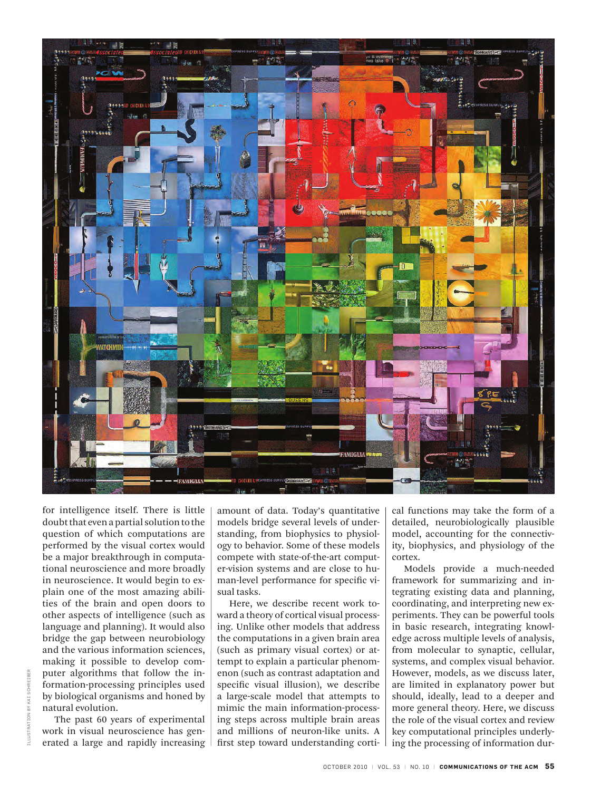

doubt that even a partial solution to the question of which computations are performed by the visual cortex would be a major breakthrough in computational neuroscience and more broadly in neuroscience. It would begin to explain one of the most amazing abilities of the brain and open doors to other aspects of intelligence (such as language and planning). It would also bridge the gap between neurobiology and the various information sciences, making it possible to develop computer algorithms that follow the information-processing principles used by biological organisms and honed by natural evolution.

The past 60 years of experimental work in visual neuroscience has generated a large and rapidly increasing

amount of data. Today's quantitative models bridge several levels of understanding, from biophysics to physiology to behavior. Some of these models compete with state-of-the-art computer-vision systems and are close to human-level performance for specific visual tasks.

Here, we describe recent work toward a theory of cortical visual processing. Unlike other models that address the computations in a given brain area (such as primary visual cortex) or attempt to explain a particular phenomenon (such as contrast adaptation and specific visual illusion), we describe a large-scale model that attempts to mimic the main information-processing steps across multiple brain areas and millions of neuron-like units. A first step toward understanding cortical functions may take the form of a detailed, neurobiologically plausible model, accounting for the connectivity, biophysics, and physiology of the cortex.

Models provide a much-needed framework for summarizing and integrating existing data and planning, coordinating, and interpreting new experiments. They can be powerful tools in basic research, integrating knowledge across multiple levels of analysis, from molecular to synaptic, cellular, systems, and complex visual behavior. However, models, as we discuss later, are limited in explanatory power but should, ideally, lead to a deeper and more general theory. Here, we discuss the role of the visual cortex and review key computational principles underlying the processing of information dur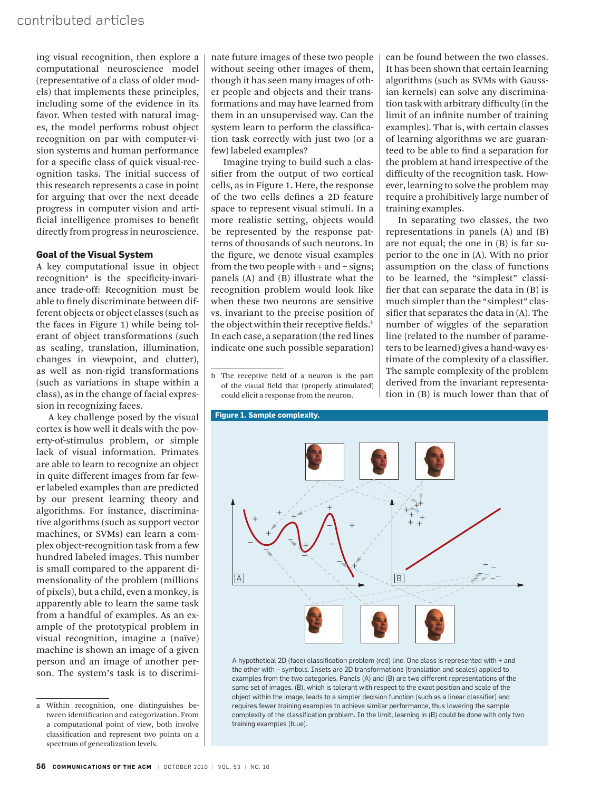ing visual recognition, then explore a computational neuroscience model (representative of a class of older models) that implements these principles, including some of the evidence in its favor. When tested with natural images, the model performs robust object recognition on par with computer-vision systems and human performance for a specific class of quick visual-recognition tasks. The initial success of this research represents a case in point for arguing that over the next decade progress in computer vision and artificial intelligence promises to benefit directly from progress in neuroscience.

#### **Goal of the Visual System**

A key computational issue in object recognition<sup>a</sup> is the specificity-invariance trade-off: Recognition must be able to finely discriminate between different objects or object classes (such as the faces in Figure 1) while being tolerant of object transformations (such as scaling, translation, illumination, changes in viewpoint, and clutter), as well as non-rigid transformations (such as variations in shape within a class), as in the change of facial expression in recognizing faces.

A key challenge posed by the visual cortex is how well it deals with the poverty-of-stimulus problem, or simple lack of visual information. Primates are able to learn to recognize an object in quite different images from far fewer labeled examples than are predicted by our present learning theory and algorithms. For instance, discriminative algorithms (such as support vector machines, or SVMs) can learn a complex object-recognition task from a few hundred labeled images. This number is small compared to the apparent dimensionality of the problem (millions of pixels), but a child, even a monkey, is apparently able to learn the same task from a handful of examples. As an example of the prototypical problem in visual recognition, imagine a (naïve) machine is shown an image of a given person and an image of another person. The system's task is to discriminate future images of these two people without seeing other images of them, though it has seen many images of other people and objects and their transformations and may have learned from them in an unsupervised way. Can the system learn to perform the classification task correctly with just two (or a few) labeled examples?

Imagine trying to build such a classifier from the output of two cortical cells, as in Figure 1. Here, the response of the two cells defines a 2D feature space to represent visual stimuli. In a more realistic setting, objects would be represented by the response patterns of thousands of such neurons. In the figure, we denote visual examples from the two people with + and – signs; panels (A) and (B) illustrate what the recognition problem would look like when these two neurons are sensitive vs. invariant to the precise position of the object within their receptive fields.<sup>b</sup> In each case, a separation (the red lines indicate one such possible separation)

can be found between the two classes. It has been shown that certain learning algorithms (such as SVMs with Gaussian kernels) can solve any discrimination task with arbitrary difficulty (in the limit of an infinite number of training examples). That is, with certain classes of learning algorithms we are guaranteed to be able to find a separation for the problem at hand irrespective of the difficulty of the recognition task. However, learning to solve the problem may require a prohibitively large number of training examples.

In separating two classes, the two representations in panels (A) and (B) are not equal; the one in (B) is far superior to the one in (A). With no prior assumption on the class of functions to be learned, the "simplest" classifier that can separate the data in (B) is much simpler than the "simplest" classifier that separates the data in (A). The number of wiggles of the separation line (related to the number of parameters to be learned) gives a hand-wavy estimate of the complexity of a classifier. The sample complexity of the problem derived from the invariant representation in (B) is much lower than that of



A hypothetical 2D (face) classification problem (red) line. One class is represented with + and the other with – symbols. Insets are 2D transformations (translation and scales) applied to examples from the two categories. Panels (A) and (B) are two different representations of the same set of images. (B), which is tolerant with respect to the exact position and scale of the object within the image, leads to a simpler decision function (such as a linear classifier) and requires fewer training examples to achieve similar performance, thus lowering the sample complexity of the classification problem. In the limit, learning in (B) could be done with only two training examples (blue).

a Within recognition, one distinguishes between identification and categorization. From a computational point of view, both involve classification and represent two points on a spectrum of generalization levels.

b The receptive field of a neuron is the part of the visual field that (properly stimulated) could elicit a response from the neuron.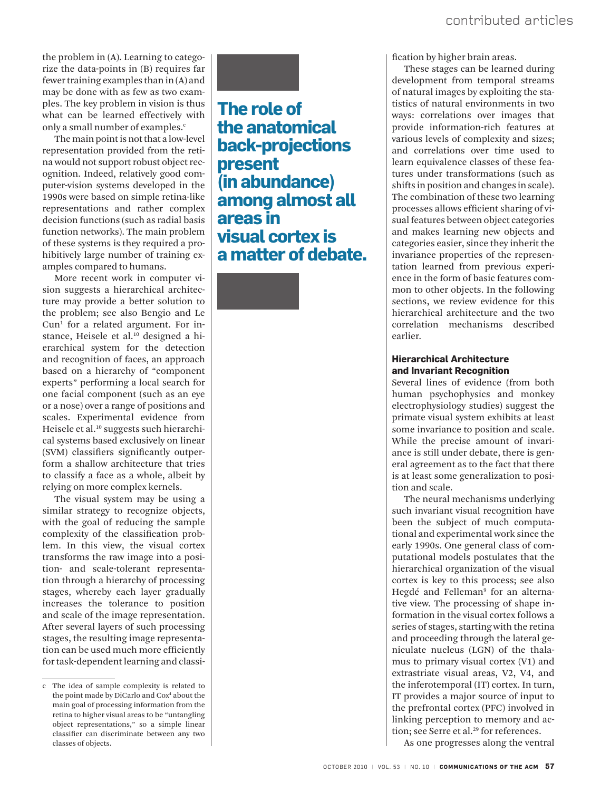the problem in (A). Learning to categorize the data-points in (B) requires far fewer training examples than in (A) and may be done with as few as two examples. The key problem in vision is thus what can be learned effectively with only a small number of examples.<sup>c</sup>

The main point is not that a low-level representation provided from the retina would not support robust object recognition. Indeed, relatively good computer-vision systems developed in the 1990s were based on simple retina-like representations and rather complex decision functions (such as radial basis function networks). The main problem of these systems is they required a prohibitively large number of training examples compared to humans.

More recent work in computer vision suggests a hierarchical architecture may provide a better solution to the problem; see also Bengio and Le Cun<sup>1</sup> for a related argument. For instance, Heisele et al.<sup>10</sup> designed a hierarchical system for the detection and recognition of faces, an approach based on a hierarchy of "component experts" performing a local search for one facial component (such as an eye or a nose) over a range of positions and scales. Experimental evidence from Heisele et al.<sup>10</sup> suggests such hierarchical systems based exclusively on linear (SVM) classifiers significantly outperform a shallow architecture that tries to classify a face as a whole, albeit by relying on more complex kernels.

The visual system may be using a similar strategy to recognize objects, with the goal of reducing the sample complexity of the classification problem. In this view, the visual cortex transforms the raw image into a position- and scale-tolerant representation through a hierarchy of processing stages, whereby each layer gradually increases the tolerance to position and scale of the image representation. After several layers of such processing stages, the resulting image representation can be used much more efficiently for task-dependent learning and classi-



**The role of the anatomical back-projections present (in abundance) among almost all areas in visual cortex is a matter of debate.**  fication by higher brain areas.

These stages can be learned during development from temporal streams of natural images by exploiting the statistics of natural environments in two ways: correlations over images that provide information-rich features at various levels of complexity and sizes; and correlations over time used to learn equivalence classes of these features under transformations (such as shifts in position and changes in scale). The combination of these two learning processes allows efficient sharing of visual features between object categories and makes learning new objects and categories easier, since they inherit the invariance properties of the representation learned from previous experience in the form of basic features common to other objects. In the following sections, we review evidence for this hierarchical architecture and the two correlation mechanisms described earlier.

#### **Hierarchical Architecture and Invariant Recognition**

Several lines of evidence (from both human psychophysics and monkey electrophysiology studies) suggest the primate visual system exhibits at least some invariance to position and scale. While the precise amount of invariance is still under debate, there is general agreement as to the fact that there is at least some generalization to position and scale.

The neural mechanisms underlying such invariant visual recognition have been the subject of much computational and experimental work since the early 1990s. One general class of computational models postulates that the hierarchical organization of the visual cortex is key to this process; see also Hegdé and Felleman<sup>9</sup> for an alternative view. The processing of shape information in the visual cortex follows a series of stages, starting with the retina and proceeding through the lateral geniculate nucleus (LGN) of the thalamus to primary visual cortex (V1) and extrastriate visual areas, V2, V4, and the inferotemporal (IT) cortex. In turn, IT provides a major source of input to the prefrontal cortex (PFC) involved in linking perception to memory and action; see Serre et al.<sup>29</sup> for references.

As one progresses along the ventral

c The idea of sample complexity is related to the point made by DiCarlo and Cox<sup>4</sup> about the main goal of processing information from the retina to higher visual areas to be "untangling object representations," so a simple linear classifier can discriminate between any two classes of objects.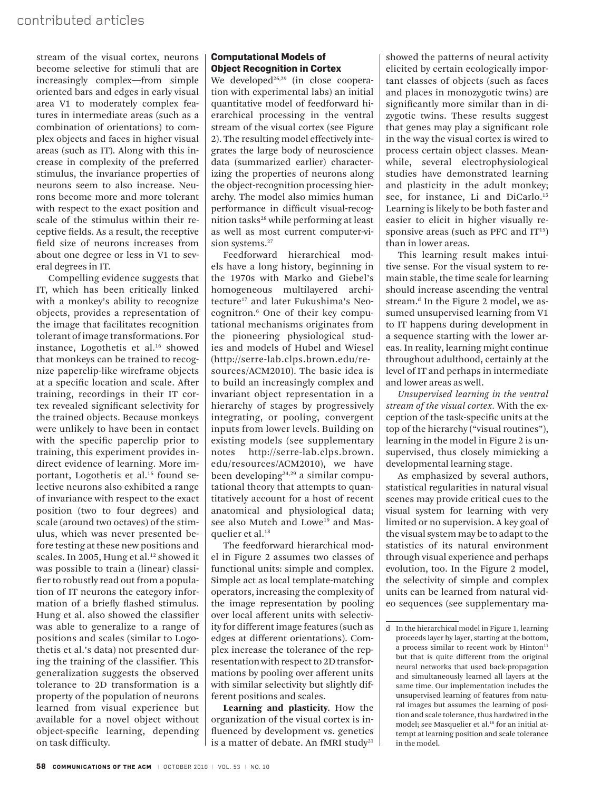stream of the visual cortex, neurons become selective for stimuli that are increasingly complex—from simple oriented bars and edges in early visual area V1 to moderately complex features in intermediate areas (such as a combination of orientations) to complex objects and faces in higher visual areas (such as IT). Along with this increase in complexity of the preferred stimulus, the invariance properties of neurons seem to also increase. Neurons become more and more tolerant with respect to the exact position and scale of the stimulus within their receptive fields. As a result, the receptive field size of neurons increases from about one degree or less in V1 to several degrees in IT.

Compelling evidence suggests that IT, which has been critically linked with a monkey's ability to recognize objects, provides a representation of the image that facilitates recognition tolerant of image transformations. For instance, Logothetis et al.<sup>16</sup> showed that monkeys can be trained to recognize paperclip-like wireframe objects at a specific location and scale. After training, recordings in their IT cortex revealed significant selectivity for the trained objects. Because monkeys were unlikely to have been in contact with the specific paperclip prior to training, this experiment provides indirect evidence of learning. More important, Logothetis et al.<sup>16</sup> found selective neurons also exhibited a range of invariance with respect to the exact position (two to four degrees) and scale (around two octaves) of the stimulus, which was never presented before testing at these new positions and scales. In 2005, Hung et al.<sup>12</sup> showed it was possible to train a (linear) classifier to robustly read out from a population of IT neurons the category information of a briefly flashed stimulus. Hung et al. also showed the classifier was able to generalize to a range of positions and scales (similar to Logothetis et al.'s data) not presented during the training of the classifier. This generalization suggests the observed tolerance to 2D transformation is a property of the population of neurons learned from visual experience but available for a novel object without object-specific learning, depending on task difficulty.

#### **Computational Models of Object Recognition in Cortex**

We developed<sup>26,29</sup> (in close cooperation with experimental labs) an initial quantitative model of feedforward hierarchical processing in the ventral stream of the visual cortex (see Figure 2). The resulting model effectively integrates the large body of neuroscience data (summarized earlier) characterizing the properties of neurons along the object-recognition processing hierarchy. The model also mimics human performance in difficult visual-recognition tasks<sup>28</sup> while performing at least as well as most current computer-vision systems.<sup>27</sup>

Feedforward hierarchical models have a long history, beginning in the 1970s with Marko and Giebel's homogeneous multilayered architecture<sup>17</sup> and later Fukushima's Neocognitron.6 One of their key computational mechanisms originates from the pioneering physiological studies and models of Hubel and Wiesel (http://serre-lab.clps.brown.edu/resources/ACM2010). The basic idea is to build an increasingly complex and invariant object representation in a hierarchy of stages by progressively integrating, or pooling, convergent inputs from lower levels. Building on existing models (see supplementary notes http://serre-lab.clps.brown. edu/resources/ACM2010), we have been developing<sup>24,29</sup> a similar computational theory that attempts to quantitatively account for a host of recent anatomical and physiological data; see also Mutch and Lowe<sup>19</sup> and Masquelier et al.18

The feedforward hierarchical model in Figure 2 assumes two classes of functional units: simple and complex. Simple act as local template-matching operators, increasing the complexity of the image representation by pooling over local afferent units with selectivity for different image features (such as edges at different orientations). Complex increase the tolerance of the representation with respect to 2D transformations by pooling over afferent units with similar selectivity but slightly different positions and scales.

Learning and plasticity. How the organization of the visual cortex is influenced by development vs. genetics is a matter of debate. An fMRI study<sup>21</sup> showed the patterns of neural activity elicited by certain ecologically important classes of objects (such as faces and places in monozygotic twins) are significantly more similar than in dizygotic twins. These results suggest that genes may play a significant role in the way the visual cortex is wired to process certain object classes. Meanwhile, several electrophysiological studies have demonstrated learning and plasticity in the adult monkey; see, for instance, Li and DiCarlo.<sup>15</sup> Learning is likely to be both faster and easier to elicit in higher visually responsive areas (such as PFC and  $IT<sup>15</sup>$ ) than in lower areas.

This learning result makes intuitive sense. For the visual system to remain stable, the time scale for learning should increase ascending the ventral stream.<sup>d</sup> In the Figure 2 model, we assumed unsupervised learning from V1 to IT happens during development in a sequence starting with the lower areas. In reality, learning might continue throughout adulthood, certainly at the level of IT and perhaps in intermediate and lower areas as well.

*Unsupervised learning in the ventral stream of the visual cortex.* With the exception of the task-specific units at the top of the hierarchy ("visual routines"), learning in the model in Figure 2 is unsupervised, thus closely mimicking a developmental learning stage.

As emphasized by several authors, statistical regularities in natural visual scenes may provide critical cues to the visual system for learning with very limited or no supervision. A key goal of the visual system may be to adapt to the statistics of its natural environment through visual experience and perhaps evolution, too. In the Figure 2 model, the selectivity of simple and complex units can be learned from natural video sequences (see supplementary ma-

d In the hierarchical model in Figure 1, learning proceeds layer by layer, starting at the bottom, a process similar to recent work by Hinton<sup>11</sup> but that is quite different from the original neural networks that used back-propagation and simultaneously learned all layers at the same time. Our implementation includes the unsupervised learning of features from natural images but assumes the learning of position and scale tolerance, thus hardwired in the model; see Masquelier et al.<sup>18</sup> for an initial attempt at learning position and scale tolerance in the model.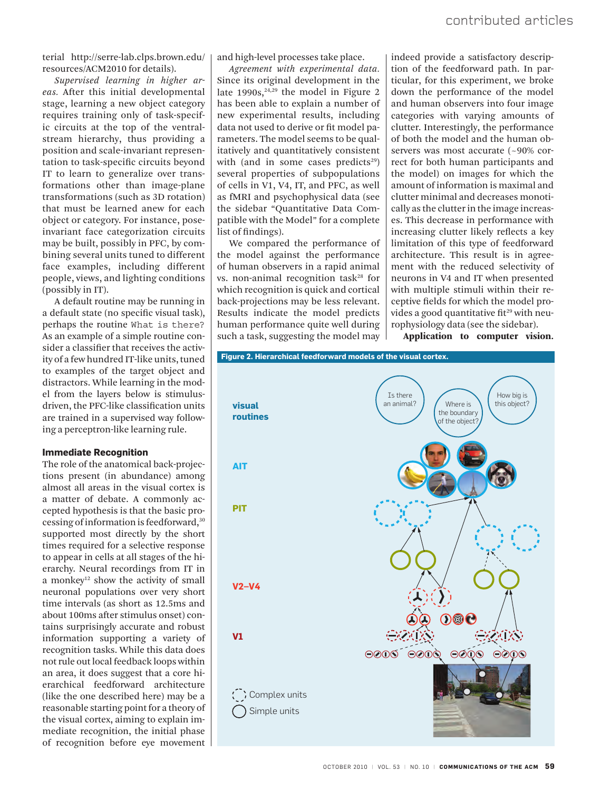terial http://serre-lab.clps.brown.edu/ resources/ACM2010 for details).

*Supervised learning in higher areas.* After this initial developmental stage, learning a new object category requires training only of task-specific circuits at the top of the ventralstream hierarchy, thus providing a position and scale-invariant representation to task-specific circuits beyond IT to learn to generalize over transformations other than image-plane transformations (such as 3D rotation) that must be learned anew for each object or category. For instance, poseinvariant face categorization circuits may be built, possibly in PFC, by combining several units tuned to different face examples, including different people, views, and lighting conditions (possibly in IT).

A default routine may be running in a default state (no specific visual task), perhaps the routine What is there? As an example of a simple routine consider a classifier that receives the activity of a few hundred IT-like units, tuned to examples of the target object and distractors. While learning in the model from the layers below is stimulusdriven, the PFC-like classification units are trained in a supervised way following a perceptron-like learning rule.

#### **Immediate Recognition**

The role of the anatomical back-projections present (in abundance) among almost all areas in the visual cortex is a matter of debate. A commonly accepted hypothesis is that the basic processing of information is feedforward,30 supported most directly by the short times required for a selective response to appear in cells at all stages of the hierarchy. Neural recordings from IT in a monkey<sup>12</sup> show the activity of small neuronal populations over very short time intervals (as short as 12.5ms and about 100ms after stimulus onset) contains surprisingly accurate and robust information supporting a variety of recognition tasks. While this data does not rule out local feedback loops within an area, it does suggest that a core hierarchical feedforward architecture (like the one described here) may be a reasonable starting point for a theory of the visual cortex, aiming to explain immediate recognition, the initial phase of recognition before eye movement

and high-level processes take place.

*Agreement with experimental data.*  Since its original development in the late 1990s, $24,29$  the model in Figure 2 has been able to explain a number of new experimental results, including data not used to derive or fit model parameters. The model seems to be qualitatively and quantitatively consistent with (and in some cases predicts $29$ ) several properties of subpopulations of cells in V1, V4, IT, and PFC, as well as fMRI and psychophysical data (see the sidebar "Quantitative Data Compatible with the Model" for a complete list of findings).

We compared the performance of the model against the performance of human observers in a rapid animal vs. non-animal recognition task $28$  for which recognition is quick and cortical back-projections may be less relevant. Results indicate the model predicts human performance quite well during such a task, suggesting the model may

indeed provide a satisfactory description of the feedforward path. In particular, for this experiment, we broke down the performance of the model and human observers into four image categories with varying amounts of clutter. Interestingly, the performance of both the model and the human observers was most accurate  $(-90\% \text{ cor-}$ rect for both human participants and the model) on images for which the amount of information is maximal and clutter minimal and decreases monotically as the clutter in the image increases. This decrease in performance with increasing clutter likely reflects a key limitation of this type of feedforward architecture. This result is in agreement with the reduced selectivity of neurons in V4 and IT when presented with multiple stimuli within their receptive fields for which the model provides a good quantitative fit<sup>29</sup> with neurophysiology data (see the sidebar).

Application to computer vision.

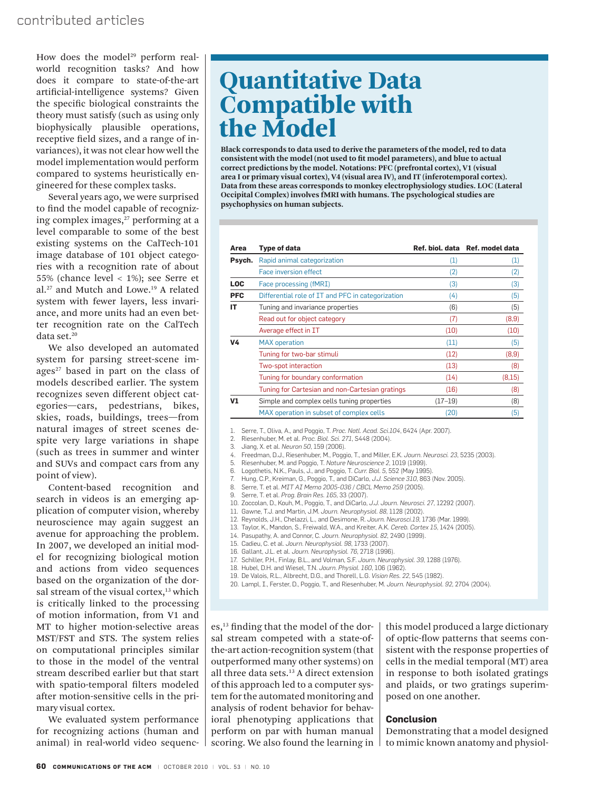How does the model<sup>29</sup> perform realworld recognition tasks? And how does it compare to state-of-the-art artificial-intelligence systems? Given the specific biological constraints the theory must satisfy (such as using only biophysically plausible operations, receptive field sizes, and a range of invariances), it was not clear how well the model implementation would perform compared to systems heuristically engineered for these complex tasks.

Several years ago, we were surprised to find the model capable of recognizing complex images,<sup>27</sup> performing at a level comparable to some of the best existing systems on the CalTech-101 image database of 101 object categories with a recognition rate of about 55% (chance level < 1%); see Serre et al.27 and Mutch and Lowe.19 A related system with fewer layers, less invariance, and more units had an even better recognition rate on the CalTech data set.<sup>20</sup>

We also developed an automated system for parsing street-scene images $27$  based in part on the class of models described earlier. The system recognizes seven different object categories—cars, pedestrians, bikes, skies, roads, buildings, trees—from natural images of street scenes despite very large variations in shape (such as trees in summer and winter and SUVs and compact cars from any point of view).

Content-based recognition and search in videos is an emerging application of computer vision, whereby neuroscience may again suggest an avenue for approaching the problem. In 2007, we developed an initial model for recognizing biological motion and actions from video sequences based on the organization of the dorsal stream of the visual cortex,<sup>13</sup> which is critically linked to the processing of motion information, from V1 and MT to higher motion-selective areas MST/FST and STS. The system relies on computational principles similar to those in the model of the ventral stream described earlier but that start with spatio-temporal filters modeled after motion-sensitive cells in the primary visual cortex.

We evaluated system performance for recognizing actions (human and animal) in real-world video sequenc-

### Quantitative Data Compatible with the Model

**Black corresponds to data used to derive the parameters of the model, red to data consistent with the model (not used to fit model parameters), and blue to actual correct predictions by the model. Notations: PFC (prefrontal cortex), V1 (visual area I or primary visual cortex), V4 (visual area IV), and IT (inferotemporal cortex). Data from these areas corresponds to monkey electrophysiology studies. LOC (Lateral Occipital Complex) involves fMRI with humans. The psychological studies are psychophysics on human subjects.** 

| Area       | Type of data                                      |                  | Ref. biol. data Ref. model data |
|------------|---------------------------------------------------|------------------|---------------------------------|
| Psych.     | Rapid animal categorization                       | $\left(1\right)$ | $\left( 1\right)$               |
|            | Face inversion effect                             | (2)              | (2)                             |
| <b>LOC</b> | Face processing (fMRI)                            | (3)              | (3)                             |
| <b>PFC</b> | Differential role of IT and PFC in categorization | (4)              | (5)                             |
| IΤ         | Tuning and invariance properties                  | (6)              | (5)                             |
|            | Read out for object category                      | (7)              | (8,9)                           |
|            | Average effect in IT                              | (10)             | (10)                            |
| <b>V4</b>  | <b>MAX</b> operation                              | (11)             | (5)                             |
|            | Tuning for two-bar stimuli                        | (12)             | (8, 9)                          |
|            | Two-spot interaction                              | (13)             | (8)                             |
|            | Tuning for boundary conformation                  | (14)             | (8,15)                          |
|            | Tuning for Cartesian and non-Cartesian gratings   | (16)             | (8)                             |
| V1         | Simple and complex cells tuning properties        | $(17-19)$        | (8)                             |
|            | MAX operation in subset of complex cells          | (20)             | (5)                             |

1. Serre, T., Oliva, A., and Poggio, T. *Proc. Natl. Acad. Sci.104*, 6424 (Apr. 2007).

2. Riesenhuber, M. et al. *Proc. Biol. Sci. 271*, S448 (2004).

3. Jiang, X. et al. *Neuron 50*, 159 (2006).

- 4. Freedman, D.J., Riesenhuber, M., Poggio, T., and Miller, E.K. *Journ. Neurosci. 23*, 5235 (2003).
- 5. Riesenhuber, M. and Poggio, T. *Nature Neuroscience 2*, 1019 (1999).
- 6. Logothetis, N.K., Pauls, J., and Poggio, T. *Curr. Biol. 5*, 552 (May 1995).
- 7. Hung, C.P., Kreiman, G., Poggio, T., and DiCarlo, *J.J. Science 310*, 863 (Nov. 2005).
- 8. Serre, T. et al. *MIT AI Memo 2005-036 / CBCL Memo 259* (2005).
- 9. Serre, T. et al. *Prog. Brain Res. 165*, 33 (2007).
- 10. Zoccolan, D., Kouh, M., Poggio, T., and DiCarlo, *J.J. Journ. Neurosci. 27*, 12292 (2007).
- 11. Gawne, T.J. and Martin, J.M. *Journ. Neurophysiol. 88*, 1128 (2002).
- 12. Reynolds, J.H., Chelazzi, L., and Desimone, R. *Journ. Neurosci.19*, 1736 (Mar. 1999).
- 13. Taylor, K., Mandon, S., Freiwald, W.A., and Kreiter, A.K. *Cereb. Cortex 15*, 1424 (2005).
- 14. Pasupathy, A. and Connor, C. *Journ. Neurophysiol. 82*, 2490 (1999).
- 15. Cadieu, C. et al. *Journ. Neurophysiol. 98*, 1733 (2007).
- 16. Gallant, J.L. et al. *Journ. Neurophysiol. 76*, 2718 (1996).
- 17. Schiller, P.H., Finlay, B.L., and Volman, S.F. *Journ. Neurophysiol. 39*, 1288 (1976).
- 18. Hubel, D.H. and Wiesel, T.N. *Journ. Physiol. 160*, 106 (1962).
- 19. De Valois, R.L., Albrecht, D.G., and Thorell, L.G. *Vision Res. 22*, 545 (1982).
- 20. Lampl, I., Ferster, D., Poggio, T., and Riesenhuber, M. *Journ. Neurophysiol. 92*, 2704 (2004).

es,<sup>13</sup> finding that the model of the dorsal stream competed with a state-ofthe-art action-recognition system (that outperformed many other systems) on all three data sets.13 A direct extension of this approach led to a computer system for the automated monitoring and analysis of rodent behavior for behavioral phenotyping applications that perform on par with human manual scoring. We also found the learning in this model produced a large dictionary of optic-flow patterns that seems consistent with the response properties of cells in the medial temporal (MT) area in response to both isolated gratings and plaids, or two gratings superimposed on one another.

#### **Conclusion**

Demonstrating that a model designed to mimic known anatomy and physiol-